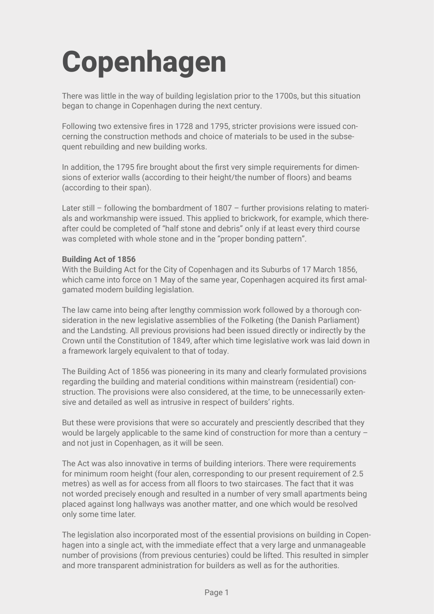# **Copenhagen**

There was little in the way of building legislation prior to the 1700s, but this situation began to change in Copenhagen during the next century.

Following two extensive fires in 1728 and 1795, stricter provisions were issued concerning the construction methods and choice of materials to be used in the subsequent rebuilding and new building works.

In addition, the 1795 fire brought about the first very simple requirements for dimensions of exterior walls (according to their height/the number of floors) and beams (according to their span).

Later still – following the bombardment of 1807 – further provisions relating to materials and workmanship were issued. This applied to brickwork, for example, which thereafter could be completed of "half stone and debris" only if at least every third course was completed with whole stone and in the "proper bonding pattern".

## **Building Act of 1856**

With the Building Act for the City of Copenhagen and its Suburbs of 17 March 1856, which came into force on 1 May of the same year, Copenhagen acquired its first amalgamated modern building legislation.

The law came into being after lengthy commission work followed by a thorough consideration in the new legislative assemblies of the Folketing (the Danish Parliament) and the Landsting. All previous provisions had been issued directly or indirectly by the Crown until the Constitution of 1849, after which time legislative work was laid down in a framework largely equivalent to that of today.

The Building Act of 1856 was pioneering in its many and clearly formulated provisions regarding the building and material conditions within mainstream (residential) construction. The provisions were also considered, at the time, to be unnecessarily extensive and detailed as well as intrusive in respect of builders' rights.

But these were provisions that were so accurately and presciently described that they would be largely applicable to the same kind of construction for more than a century – and not just in Copenhagen, as it will be seen.

The Act was also innovative in terms of building interiors. There were requirements for minimum room height (four alen, corresponding to our present requirement of 2.5 metres) as well as for access from all floors to two staircases. The fact that it was not worded precisely enough and resulted in a number of very small apartments being placed against long hallways was another matter, and one which would be resolved only some time later.

The legislation also incorporated most of the essential provisions on building in Copenhagen into a single act, with the immediate effect that a very large and unmanageable number of provisions (from previous centuries) could be lifted. This resulted in simpler and more transparent administration for builders as well as for the authorities.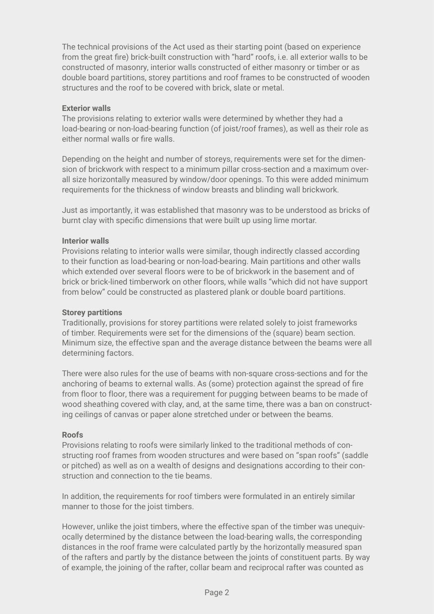The technical provisions of the Act used as their starting point (based on experience from the great fire) brick-built construction with "hard" roofs, i.e. all exterior walls to be constructed of masonry, interior walls constructed of either masonry or timber or as double board partitions, storey partitions and roof frames to be constructed of wooden structures and the roof to be covered with brick, slate or metal.

## **Exterior walls**

The provisions relating to exterior walls were determined by whether they had a load-bearing or non-load-bearing function (of joist/roof frames), as well as their role as either normal walls or fire walls.

Depending on the height and number of storeys, requirements were set for the dimension of brickwork with respect to a minimum pillar cross-section and a maximum overall size horizontally measured by window/door openings. To this were added minimum requirements for the thickness of window breasts and blinding wall brickwork.

Just as importantly, it was established that masonry was to be understood as bricks of burnt clay with specific dimensions that were built up using lime mortar.

## **Interior walls**

Provisions relating to interior walls were similar, though indirectly classed according to their function as load-bearing or non-load-bearing. Main partitions and other walls which extended over several floors were to be of brickwork in the basement and of brick or brick-lined timberwork on other floors, while walls "which did not have support from below" could be constructed as plastered plank or double board partitions.

#### **Storey partitions**

Traditionally, provisions for storey partitions were related solely to joist frameworks of timber. Requirements were set for the dimensions of the (square) beam section. Minimum size, the effective span and the average distance between the beams were all determining factors.

There were also rules for the use of beams with non-square cross-sections and for the anchoring of beams to external walls. As (some) protection against the spread of fire from floor to floor, there was a requirement for pugging between beams to be made of wood sheathing covered with clay, and, at the same time, there was a ban on constructing ceilings of canvas or paper alone stretched under or between the beams.

# **Roofs**

Provisions relating to roofs were similarly linked to the traditional methods of constructing roof frames from wooden structures and were based on "span roofs" (saddle or pitched) as well as on a wealth of designs and designations according to their construction and connection to the tie beams.

In addition, the requirements for roof timbers were formulated in an entirely similar manner to those for the joist timbers.

However, unlike the joist timbers, where the effective span of the timber was unequivocally determined by the distance between the load-bearing walls, the corresponding distances in the roof frame were calculated partly by the horizontally measured span of the rafters and partly by the distance between the joints of constituent parts. By way of example, the joining of the rafter, collar beam and reciprocal rafter was counted as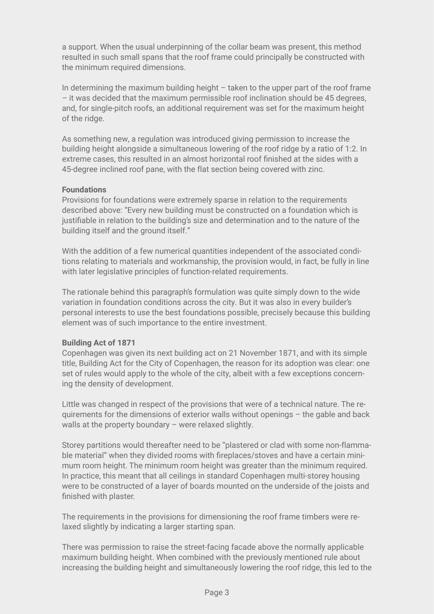a support. When the usual underpinning of the collar beam was present, this method resulted in such small spans that the roof frame could principally be constructed with the minimum required dimensions.

In determining the maximum building height  $-$  taken to the upper part of the roof frame – it was decided that the maximum permissible roof inclination should be 45 degrees, and, for single-pitch roofs, an additional requirement was set for the maximum height of the ridge.

As something new, a regulation was introduced giving permission to increase the building height alongside a simultaneous lowering of the roof ridge by a ratio of 1:2. In extreme cases, this resulted in an almost horizontal roof finished at the sides with a 45-degree inclined roof pane, with the flat section being covered with zinc.

## **Foundations**

Provisions for foundations were extremely sparse in relation to the requirements described above: "Every new building must be constructed on a foundation which is justifiable in relation to the building's size and determination and to the nature of the building itself and the ground itself."

With the addition of a few numerical quantities independent of the associated conditions relating to materials and workmanship, the provision would, in fact, be fully in line with later legislative principles of function-related requirements.

The rationale behind this paragraph's formulation was quite simply down to the wide variation in foundation conditions across the city. But it was also in every builder's personal interests to use the best foundations possible, precisely because this building element was of such importance to the entire investment.

#### **Building Act of 1871**

Copenhagen was given its next building act on 21 November 1871, and with its simple title, Building Act for the City of Copenhagen, the reason for its adoption was clear: one set of rules would apply to the whole of the city, albeit with a few exceptions concerning the density of development.

Little was changed in respect of the provisions that were of a technical nature. The requirements for the dimensions of exterior walls without openings – the gable and back walls at the property boundary – were relaxed slightly.

Storey partitions would thereafter need to be "plastered or clad with some non-flammable material" when they divided rooms with fireplaces/stoves and have a certain minimum room height. The minimum room height was greater than the minimum required. In practice, this meant that all ceilings in standard Copenhagen multi-storey housing were to be constructed of a layer of boards mounted on the underside of the joists and finished with plaster.

The requirements in the provisions for dimensioning the roof frame timbers were relaxed slightly by indicating a larger starting span.

There was permission to raise the street-facing facade above the normally applicable maximum building height. When combined with the previously mentioned rule about increasing the building height and simultaneously lowering the roof ridge, this led to the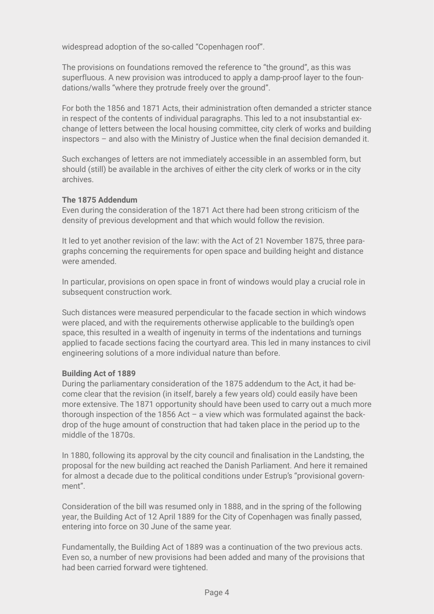widespread adoption of the so-called "Copenhagen roof".

The provisions on foundations removed the reference to "the ground", as this was superfluous. A new provision was introduced to apply a damp-proof layer to the foundations/walls "where they protrude freely over the ground".

For both the 1856 and 1871 Acts, their administration often demanded a stricter stance in respect of the contents of individual paragraphs. This led to a not insubstantial exchange of letters between the local housing committee, city clerk of works and building inspectors – and also with the Ministry of Justice when the final decision demanded it.

Such exchanges of letters are not immediately accessible in an assembled form, but should (still) be available in the archives of either the city clerk of works or in the city archives.

## **The 1875 Addendum**

Even during the consideration of the 1871 Act there had been strong criticism of the density of previous development and that which would follow the revision.

It led to yet another revision of the law: with the Act of 21 November 1875, three paragraphs concerning the requirements for open space and building height and distance were amended.

In particular, provisions on open space in front of windows would play a crucial role in subsequent construction work.

Such distances were measured perpendicular to the facade section in which windows were placed, and with the requirements otherwise applicable to the building's open space, this resulted in a wealth of ingenuity in terms of the indentations and turnings applied to facade sections facing the courtyard area. This led in many instances to civil engineering solutions of a more individual nature than before.

#### **Building Act of 1889**

During the parliamentary consideration of the 1875 addendum to the Act, it had become clear that the revision (in itself, barely a few years old) could easily have been more extensive. The 1871 opportunity should have been used to carry out a much more thorough inspection of the 1856 Act  $-$  a view which was formulated against the backdrop of the huge amount of construction that had taken place in the period up to the middle of the 1870s.

In 1880, following its approval by the city council and finalisation in the Landsting, the proposal for the new building act reached the Danish Parliament. And here it remained for almost a decade due to the political conditions under Estrup's "provisional government".

Consideration of the bill was resumed only in 1888, and in the spring of the following year, the Building Act of 12 April 1889 for the City of Copenhagen was finally passed, entering into force on 30 June of the same year.

Fundamentally, the Building Act of 1889 was a continuation of the two previous acts. Even so, a number of new provisions had been added and many of the provisions that had been carried forward were tightened.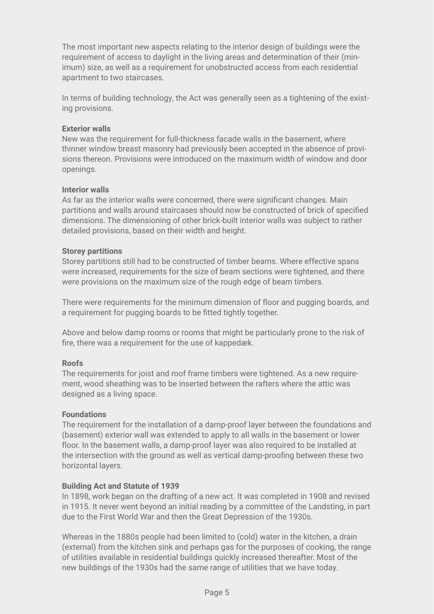The most important new aspects relating to the interior design of buildings were the requirement of access to daylight in the living areas and determination of their (minimum) size, as well as a requirement for unobstructed access from each residential apartment to two staircases.

In terms of building technology, the Act was generally seen as a tightening of the existing provisions.

### **Exterior walls**

New was the requirement for full-thickness facade walls in the basement, where thinner window breast masonry had previously been accepted in the absence of provisions thereon. Provisions were introduced on the maximum width of window and door openings.

## **Interior walls**

As far as the interior walls were concerned, there were significant changes. Main partitions and walls around staircases should now be constructed of brick of specified dimensions. The dimensioning of other brick-built interior walls was subject to rather detailed provisions, based on their width and height.

#### **Storey partitions**

Storey partitions still had to be constructed of timber beams. Where effective spans were increased, requirements for the size of beam sections were tightened, and there were provisions on the maximum size of the rough edge of beam timbers.

There were requirements for the minimum dimension of floor and pugging boards, and a requirement for pugging boards to be fitted tightly together.

Above and below damp rooms or rooms that might be particularly prone to the risk of fire, there was a requirement for the use of kappedæk.

# **Roofs**

The requirements for joist and roof frame timbers were tightened. As a new requirement, wood sheathing was to be inserted between the rafters where the attic was designed as a living space.

#### **Foundations**

The requirement for the installation of a damp-proof layer between the foundations and (basement) exterior wall was extended to apply to all walls in the basement or lower floor. In the basement walls, a damp-proof layer was also required to be installed at the intersection with the ground as well as vertical damp-proofing between these two horizontal layers.

#### **Building Act and Statute of 1939**

In 1898, work began on the drafting of a new act. It was completed in 1908 and revised in 1915. It never went beyond an initial reading by a committee of the Landsting, in part due to the First World War and then the Great Depression of the 1930s.

Whereas in the 1880s people had been limited to (cold) water in the kitchen, a drain (external) from the kitchen sink and perhaps gas for the purposes of cooking, the range of utilities available in residential buildings quickly increased thereafter. Most of the new buildings of the 1930s had the same range of utilities that we have today.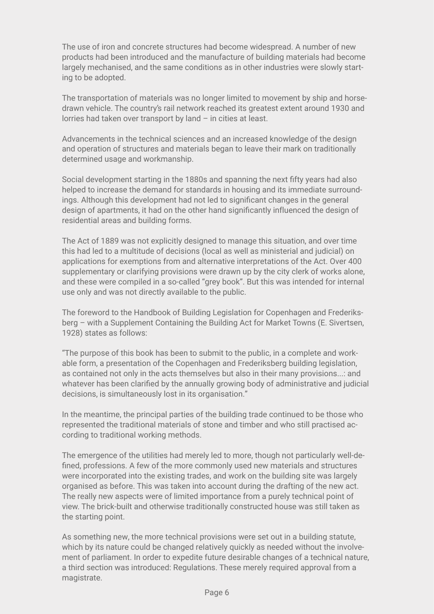The use of iron and concrete structures had become widespread. A number of new products had been introduced and the manufacture of building materials had become largely mechanised, and the same conditions as in other industries were slowly starting to be adopted.

The transportation of materials was no longer limited to movement by ship and horsedrawn vehicle. The country's rail network reached its greatest extent around 1930 and lorries had taken over transport by land – in cities at least.

Advancements in the technical sciences and an increased knowledge of the design and operation of structures and materials began to leave their mark on traditionally determined usage and workmanship.

Social development starting in the 1880s and spanning the next fifty years had also helped to increase the demand for standards in housing and its immediate surroundings. Although this development had not led to significant changes in the general design of apartments, it had on the other hand significantly influenced the design of residential areas and building forms.

The Act of 1889 was not explicitly designed to manage this situation, and over time this had led to a multitude of decisions (local as well as ministerial and judicial) on applications for exemptions from and alternative interpretations of the Act. Over 400 supplementary or clarifying provisions were drawn up by the city clerk of works alone, and these were compiled in a so-called "grey book". But this was intended for internal use only and was not directly available to the public.

The foreword to the Handbook of Building Legislation for Copenhagen and Frederiksberg – with a Supplement Containing the Building Act for Market Towns (E. Sivertsen, 1928) states as follows:

"The purpose of this book has been to submit to the public, in a complete and workable form, a presentation of the Copenhagen and Frederiksberg building legislation, as contained not only in the acts themselves but also in their many provisions...: and whatever has been clarified by the annually growing body of administrative and judicial decisions, is simultaneously lost in its organisation."

In the meantime, the principal parties of the building trade continued to be those who represented the traditional materials of stone and timber and who still practised according to traditional working methods.

The emergence of the utilities had merely led to more, though not particularly well-defined, professions. A few of the more commonly used new materials and structures were incorporated into the existing trades, and work on the building site was largely organised as before. This was taken into account during the drafting of the new act. The really new aspects were of limited importance from a purely technical point of view. The brick-built and otherwise traditionally constructed house was still taken as the starting point.

As something new, the more technical provisions were set out in a building statute, which by its nature could be changed relatively quickly as needed without the involvement of parliament. In order to expedite future desirable changes of a technical nature, a third section was introduced: Regulations. These merely required approval from a magistrate.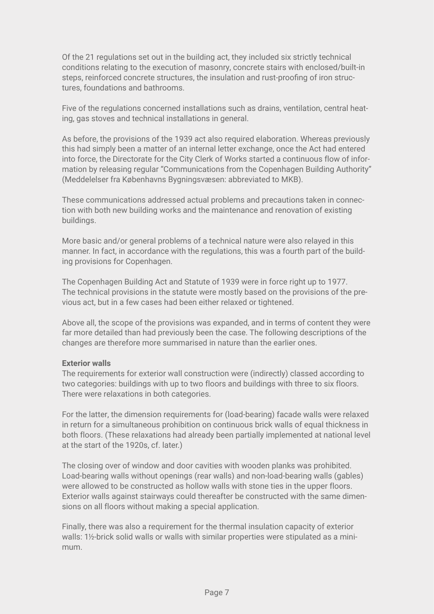Of the 21 regulations set out in the building act, they included six strictly technical conditions relating to the execution of masonry, concrete stairs with enclosed/built-in steps, reinforced concrete structures, the insulation and rust-proofing of iron structures, foundations and bathrooms.

Five of the regulations concerned installations such as drains, ventilation, central heating, gas stoves and technical installations in general.

As before, the provisions of the 1939 act also required elaboration. Whereas previously this had simply been a matter of an internal letter exchange, once the Act had entered into force, the Directorate for the City Clerk of Works started a continuous flow of information by releasing regular "Communications from the Copenhagen Building Authority" (Meddelelser fra Københavns Bygningsvæsen: abbreviated to MKB).

These communications addressed actual problems and precautions taken in connection with both new building works and the maintenance and renovation of existing buildings.

More basic and/or general problems of a technical nature were also relayed in this manner. In fact, in accordance with the regulations, this was a fourth part of the building provisions for Copenhagen.

The Copenhagen Building Act and Statute of 1939 were in force right up to 1977. The technical provisions in the statute were mostly based on the provisions of the previous act, but in a few cases had been either relaxed or tightened.

Above all, the scope of the provisions was expanded, and in terms of content they were far more detailed than had previously been the case. The following descriptions of the changes are therefore more summarised in nature than the earlier ones.

#### **Exterior walls**

The requirements for exterior wall construction were (indirectly) classed according to two categories: buildings with up to two floors and buildings with three to six floors. There were relaxations in both categories.

For the latter, the dimension requirements for (load-bearing) facade walls were relaxed in return for a simultaneous prohibition on continuous brick walls of equal thickness in both floors. (These relaxations had already been partially implemented at national level at the start of the 1920s, cf. later.)

The closing over of window and door cavities with wooden planks was prohibited. Load-bearing walls without openings (rear walls) and non-load-bearing walls (gables) were allowed to be constructed as hollow walls with stone ties in the upper floors. Exterior walls against stairways could thereafter be constructed with the same dimensions on all floors without making a special application.

Finally, there was also a requirement for the thermal insulation capacity of exterior walls: 1½-brick solid walls or walls with similar properties were stipulated as a minimum.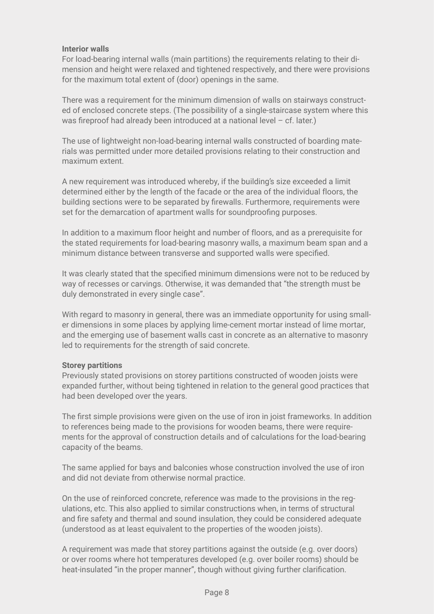## **Interior walls**

For load-bearing internal walls (main partitions) the requirements relating to their dimension and height were relaxed and tightened respectively, and there were provisions for the maximum total extent of (door) openings in the same.

There was a requirement for the minimum dimension of walls on stairways constructed of enclosed concrete steps. (The possibility of a single-staircase system where this was fireproof had already been introduced at a national level – cf. later.)

The use of lightweight non-load-bearing internal walls constructed of boarding materials was permitted under more detailed provisions relating to their construction and maximum extent.

A new requirement was introduced whereby, if the building's size exceeded a limit determined either by the length of the facade or the area of the individual floors, the building sections were to be separated by firewalls. Furthermore, requirements were set for the demarcation of apartment walls for soundproofing purposes.

In addition to a maximum floor height and number of floors, and as a prerequisite for the stated requirements for load-bearing masonry walls, a maximum beam span and a minimum distance between transverse and supported walls were specified.

It was clearly stated that the specified minimum dimensions were not to be reduced by way of recesses or carvings. Otherwise, it was demanded that "the strength must be duly demonstrated in every single case".

With regard to masonry in general, there was an immediate opportunity for using smaller dimensions in some places by applying lime-cement mortar instead of lime mortar, and the emerging use of basement walls cast in concrete as an alternative to masonry led to requirements for the strength of said concrete.

#### **Storey partitions**

Previously stated provisions on storey partitions constructed of wooden joists were expanded further, without being tightened in relation to the general good practices that had been developed over the years.

The first simple provisions were given on the use of iron in joist frameworks. In addition to references being made to the provisions for wooden beams, there were requirements for the approval of construction details and of calculations for the load-bearing capacity of the beams.

The same applied for bays and balconies whose construction involved the use of iron and did not deviate from otherwise normal practice.

On the use of reinforced concrete, reference was made to the provisions in the regulations, etc. This also applied to similar constructions when, in terms of structural and fire safety and thermal and sound insulation, they could be considered adequate (understood as at least equivalent to the properties of the wooden joists).

A requirement was made that storey partitions against the outside (e.g. over doors) or over rooms where hot temperatures developed (e.g. over boiler rooms) should be heat-insulated "in the proper manner", though without giving further clarification.